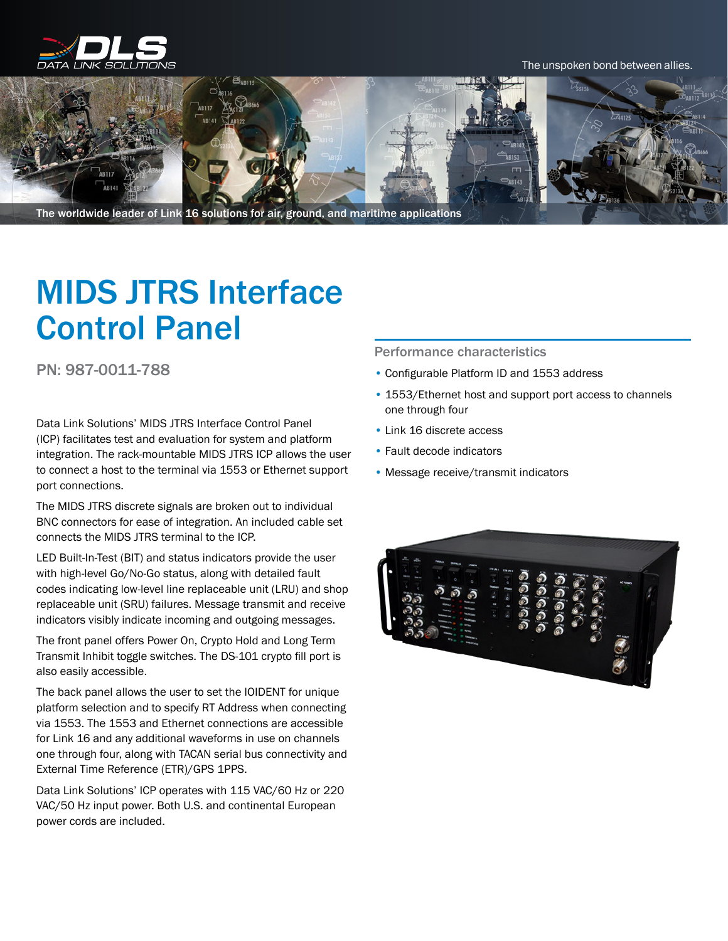

#### The unspoken bond between allies.



The worldwide leader of Link 16 solutions for air, ground, and maritime applications

# MIDS JTRS Interface Control Panel

PN: 987-0011-788

Data Link Solutions' MIDS JTRS Interface Control Panel (ICP) facilitates test and evaluation for system and platform integration. The rack-mountable MIDS JTRS ICP allows the user to connect a host to the terminal via 1553 or Ethernet support port connections.

The MIDS JTRS discrete signals are broken out to individual BNC connectors for ease of integration. An included cable set connects the MIDS JTRS terminal to the ICP.

LED Built-In-Test (BIT) and status indicators provide the user with high-level Go/No-Go status, along with detailed fault codes indicating low-level line replaceable unit (LRU) and shop replaceable unit (SRU) failures. Message transmit and receive indicators visibly indicate incoming and outgoing messages.

The front panel offers Power On, Crypto Hold and Long Term Transmit Inhibit toggle switches. The DS-101 crypto fill port is also easily accessible.

The back panel allows the user to set the IOIDENT for unique platform selection and to specify RT Address when connecting via 1553. The 1553 and Ethernet connections are accessible for Link 16 and any additional waveforms in use on channels one through four, along with TACAN serial bus connectivity and External Time Reference (ETR)/GPS 1PPS.

Data Link Solutions' ICP operates with 115 VAC/60 Hz or 220 VAC/50 Hz input power. Both U.S. and continental European power cords are included.

Performance characteristics

- Configurable Platform ID and 1553 address
- 1553/Ethernet host and support port access to channels one through four
- Link 16 discrete access
- Fault decode indicators
- Message receive/transmit indicators